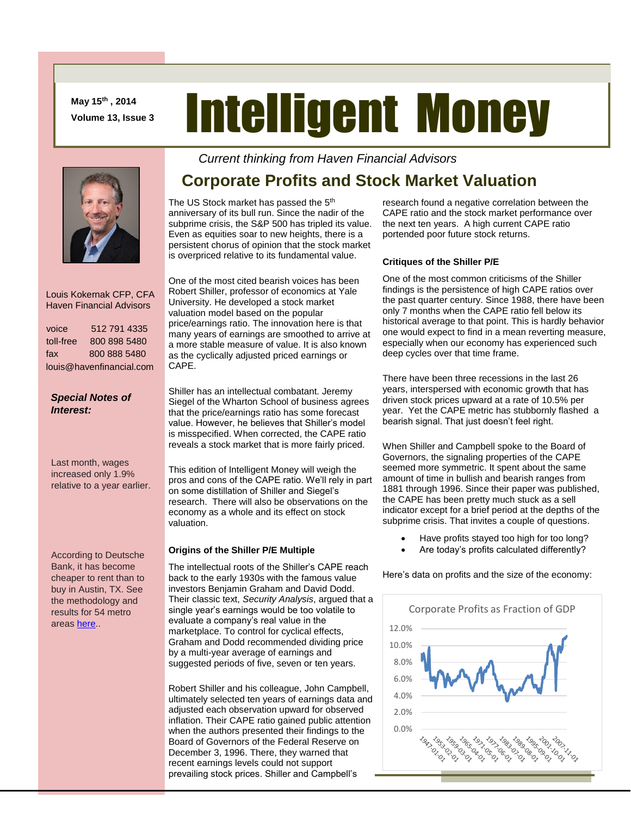**May 15th , 2014 Volume 13, Issue 3**

# Intelligent Money

#### Louis Kokernak CFP, CFA Haven Financial Advisors

| voice                    | 512 791 4335 |
|--------------------------|--------------|
| toll-free                | 800 898 5480 |
| fax                      | 800 888 5480 |
| louis@havenfinancial.com |              |

#### *Special Notes of Interest:*

Last month, wages increased only 1.9% relative to a year earlier.

According to Deutsche Bank, it has become cheaper to rent than to buy in Austin, TX. See the methodology and results for 54 metro area[s here.](http://blogs.wsj.com/totalreturn/2014/05/02/rent-or-buy-how-54-cities-rank/).

## **Corporate Profits and Stock Market Valuation**

*Current thinking from Haven Financial Advisors* 

The US Stock market has passed the 5<sup>th</sup> anniversary of its bull run. Since the nadir of the subprime crisis, the S&P 500 has tripled its value. Even as equities soar to new heights, there is a persistent chorus of opinion that the stock market is overpriced relative to its fundamental value.

One of the most cited bearish voices has been Robert Shiller, professor of economics at Yale University. He developed a stock market valuation model based on the popular price/earnings ratio. The innovation here is that many years of earnings are smoothed to arrive at a more stable measure of value. It is also known as the cyclically adjusted priced earnings or CAPE.

Shiller has an intellectual combatant. Jeremy Siegel of the Wharton School of business agrees that the price/earnings ratio has some forecast value. However, he believes that Shiller's model is misspecified. When corrected, the CAPE ratio reveals a stock market that is more fairly priced.

This edition of Intelligent Money will weigh the pros and cons of the CAPE ratio. We'll rely in part on some distillation of Shiller and Siegel's research. There will also be observations on the economy as a whole and its effect on stock valuation.

#### **Origins of the Shiller P/E Multiple**

The intellectual roots of the Shiller's CAPE reach back to the early 1930s with the famous value investors Benjamin Graham and David Dodd. Their classic text, *Security Analysis*, argued that a single year's earnings would be too volatile to evaluate a company's real value in the marketplace. To control for cyclical effects, Graham and Dodd recommended dividing price by a multi-year average of earnings and suggested periods of five, seven or ten years.

Robert Shiller and his colleague, John Campbell, ultimately selected ten years of earnings data and adjusted each observation upward for observed inflation. Their CAPE ratio gained public attention when the authors presented their findings to the Board of Governors of the Federal Reserve on December 3, 1996. There, they warned that recent earnings levels could not support prevailing stock prices. Shiller and Campbell's

research found a negative correlation between the CAPE ratio and the stock market performance over the next ten years. A high current CAPE ratio portended poor future stock returns.

#### **Critiques of the Shiller P/E**

One of the most common criticisms of the Shiller findings is the persistence of high CAPE ratios over the past quarter century. Since 1988, there have been only 7 months when the CAPE ratio fell below its historical average to that point. This is hardly behavior one would expect to find in a mean reverting measure, especially when our economy has experienced such deep cycles over that time frame.

There have been three recessions in the last 26 years, interspersed with economic growth that has driven stock prices upward at a rate of 10.5% per year. Yet the CAPE metric has stubbornly flashed a bearish signal. That just doesn't feel right.

When Shiller and Campbell spoke to the Board of Governors, the signaling properties of the CAPE seemed more symmetric. It spent about the same amount of time in bullish and bearish ranges from 1881 through 1996. Since their paper was published, the CAPE has been pretty much stuck as a sell indicator except for a brief period at the depths of the subprime crisis. That invites a couple of questions.

- Have profits stayed too high for too long?
- Are today's profits calculated differently?

Here's data on profits and the size of the economy:

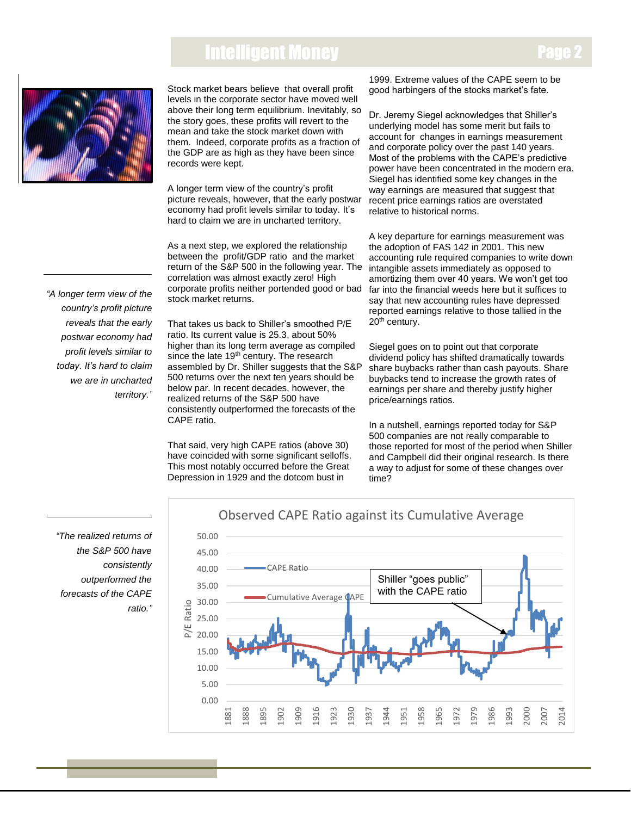## Intelligent Money



Stock market bears believe that overall profit levels in the corporate sector have moved well above their long term equilibrium. Inevitably, so the story goes, these profits will revert to the mean and take the stock market down with them. Indeed, corporate profits as a fraction of the GDP are as high as they have been since records were kept.

A longer term view of the country's profit picture reveals, however, that the early postwar economy had profit levels similar to today. It's hard to claim we are in uncharted territory.

As a next step, we explored the relationship between the profit/GDP ratio and the market return of the S&P 500 in the following year. The correlation was almost exactly zero! High corporate profits neither portended good or bad stock market returns.

 *country's profit picture "A longer term view of the reveals that the early postwar economy had profit levels similar to today. It's hard to claim we are in uncharted territory."*

That takes us back to Shiller's smoothed P/E ratio. Its current value is 25.3, about 50% higher than its long term average as compiled since the late 19<sup>th</sup> century. The research assembled by Dr. Shiller suggests that the S&P 500 returns over the next ten years should be below par. In recent decades, however, the realized returns of the S&P 500 have consistently outperformed the forecasts of the CAPE ratio.

That said, very high CAPE ratios (above 30) have coincided with some significant selloffs. This most notably occurred before the Great Depression in 1929 and the dotcom bust in

1999. Extreme values of the CAPE seem to be good harbingers of the stocks market's fate.

Dr. Jeremy Siegel acknowledges that Shiller's underlying model has some merit but fails to account for changes in earnings measurement and corporate policy over the past 140 years. Most of the problems with the CAPE's predictive power have been concentrated in the modern era. Siegel has identified some key changes in the way earnings are measured that suggest that recent price earnings ratios are overstated relative to historical norms.

A key departure for earnings measurement was the adoption of FAS 142 in 2001. This new accounting rule required companies to write down intangible assets immediately as opposed to amortizing them over 40 years. We won't get too far into the financial weeds here but it suffices to say that new accounting rules have depressed reported earnings relative to those tallied in the 20<sup>th</sup> century.

Siegel goes on to point out that corporate dividend policy has shifted dramatically towards share buybacks rather than cash payouts. Share buybacks tend to increase the growth rates of earnings per share and thereby justify higher price/earnings ratios.

In a nutshell, earnings reported today for S&P 500 companies are not really comparable to those reported for most of the period when Shiller and Campbell did their original research. Is there a way to adjust for some of these changes over time?

*"The realized returns of the S&P 500 have consistently outperformed the forecasts of the CAPE ratio."*

# 50.00 CAPE Ratio

Observed CAPE Ratio against its Cumulative Average